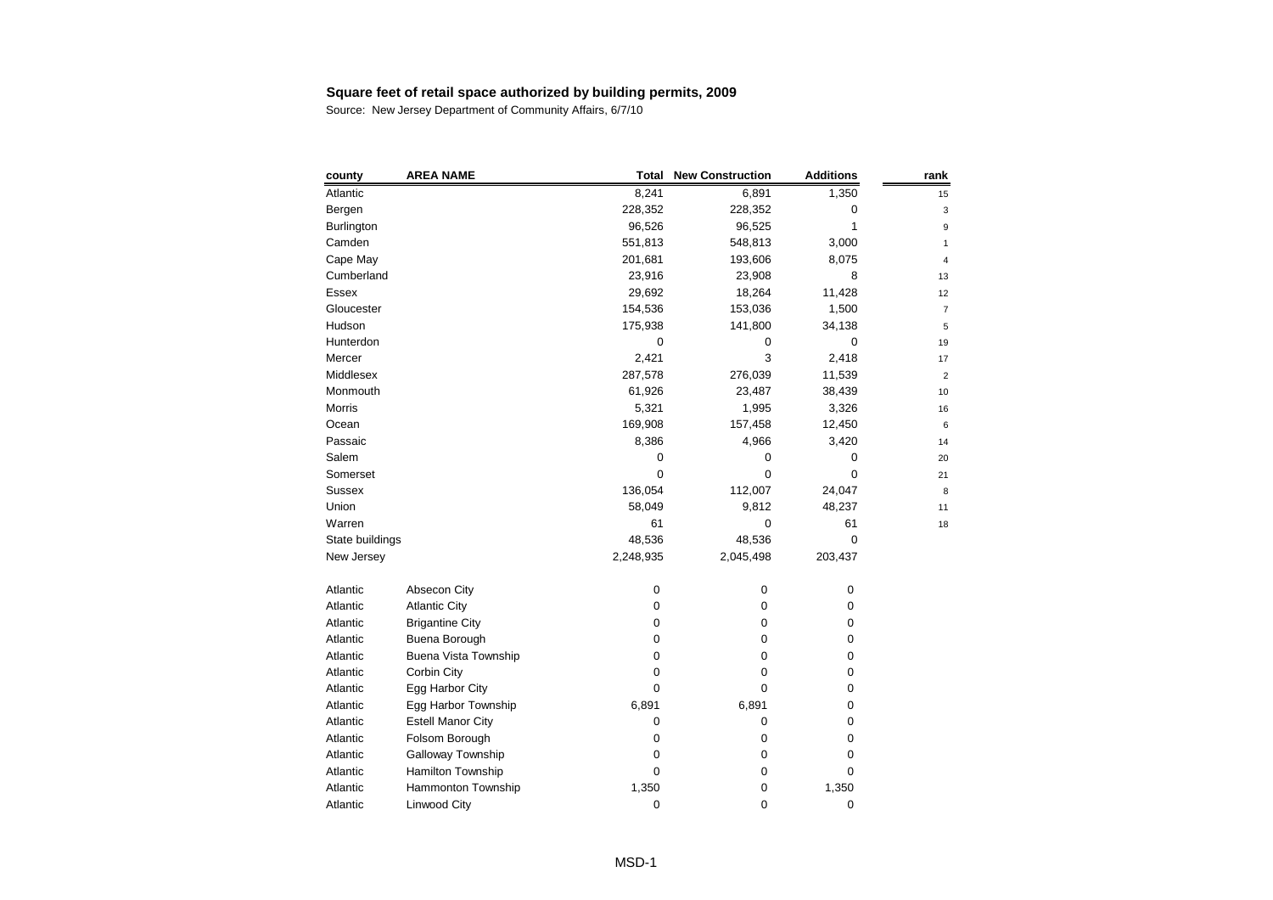| county            | <b>AREA NAME</b>            | Total     | <b>New Construction</b> | <b>Additions</b> | rank           |
|-------------------|-----------------------------|-----------|-------------------------|------------------|----------------|
| Atlantic          |                             | 8,241     | 6,891                   | 1,350            | 15             |
| Bergen            |                             | 228,352   | 228,352                 | 0                | 3              |
| <b>Burlington</b> |                             | 96,526    | 96,525                  | 1                | 9              |
| Camden            |                             | 551,813   | 548,813                 | 3,000            | 1              |
| Cape May          |                             | 201,681   | 193,606                 | 8,075            | 4              |
| Cumberland        |                             | 23,916    | 23,908                  | 8                | 13             |
| <b>Essex</b>      |                             | 29,692    | 18,264                  | 11,428           | 12             |
| Gloucester        |                             | 154,536   | 153,036                 | 1,500            | $\overline{7}$ |
| Hudson            |                             | 175,938   | 141,800                 | 34,138           | 5              |
| Hunterdon         |                             | 0         | 0                       | 0                | 19             |
| Mercer            |                             | 2,421     | 3                       | 2,418            | 17             |
| Middlesex         |                             | 287,578   | 276,039                 | 11,539           | $\overline{2}$ |
| Monmouth          |                             | 61,926    | 23,487                  | 38,439           | 10             |
| Morris            |                             | 5,321     | 1,995                   | 3,326            | 16             |
| Ocean             |                             | 169,908   | 157,458                 | 12,450           | 6              |
| Passaic           |                             | 8,386     | 4,966                   | 3,420            | 14             |
| Salem             |                             | 0         | 0                       | 0                | 20             |
| Somerset          |                             | 0         | 0                       | 0                | 21             |
| Sussex            |                             | 136,054   | 112,007                 | 24,047           | 8              |
| Union             |                             | 58,049    | 9,812                   | 48,237           | 11             |
| Warren            |                             | 61        | 0                       | 61               | 18             |
| State buildings   |                             | 48,536    | 48,536                  | 0                |                |
| New Jersey        |                             | 2,248,935 | 2,045,498               | 203,437          |                |
|                   |                             |           |                         |                  |                |
| Atlantic          | Absecon City                | 0         | $\mathbf 0$             | 0                |                |
| Atlantic          | <b>Atlantic City</b>        | 0         | 0                       | 0                |                |
| Atlantic          | <b>Brigantine City</b>      | 0         | 0                       | $\mathbf 0$      |                |
| Atlantic          | Buena Borough               | 0         | $\mathbf 0$             | 0                |                |
| Atlantic          | <b>Buena Vista Township</b> | 0         | $\mathbf 0$             | $\pmb{0}$        |                |
| Atlantic          | Corbin City                 | 0         | $\mathbf 0$             | $\mathbf 0$      |                |
| Atlantic          | Egg Harbor City             | 0         | $\mathbf 0$             | $\mathbf 0$      |                |
| Atlantic          | Egg Harbor Township         | 6,891     | 6,891                   | $\mathbf 0$      |                |
| Atlantic          | <b>Estell Manor City</b>    | 0         | 0                       | 0                |                |
| Atlantic          | Folsom Borough              | 0         | $\mathbf 0$             | $\mathbf 0$      |                |
| Atlantic          | Galloway Township           | 0         | 0                       | 0                |                |
| Atlantic          | Hamilton Township           | 0         | $\mathbf 0$             | $\mathbf 0$      |                |
| Atlantic          | Hammonton Township          | 1,350     | 0                       | 1,350            |                |
| Atlantic          | Linwood City                | 0         | $\mathbf 0$             | $\mathbf 0$      |                |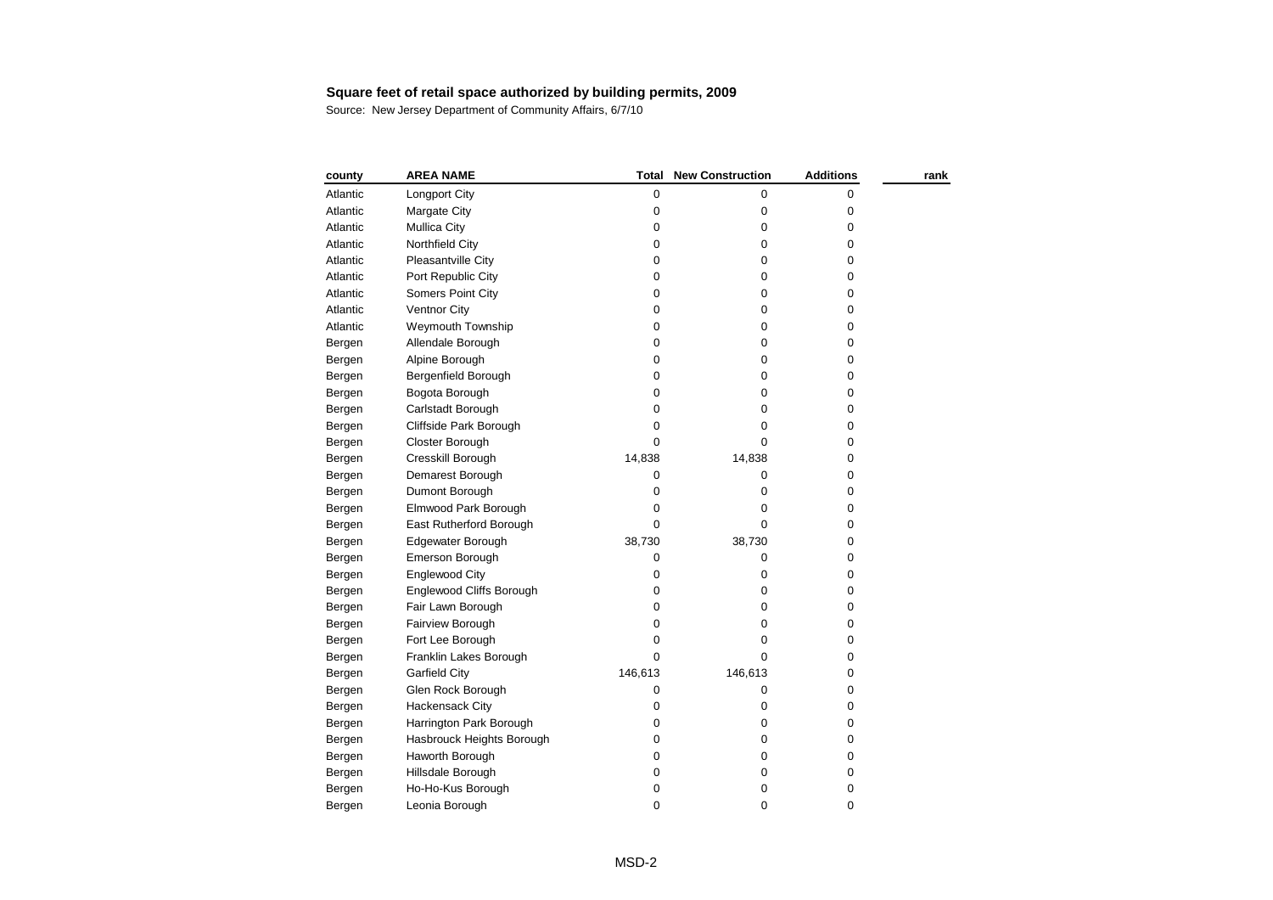| county   | <b>AREA NAME</b>          | Total       | <b>New Construction</b> | <b>Additions</b> | rank |
|----------|---------------------------|-------------|-------------------------|------------------|------|
| Atlantic | <b>Longport City</b>      | 0           | 0                       | 0                |      |
| Atlantic | Margate City              | 0           | 0                       | 0                |      |
| Atlantic | <b>Mullica City</b>       | 0           | 0                       | 0                |      |
| Atlantic | Northfield City           | 0           | 0                       | 0                |      |
| Atlantic | Pleasantville City        | 0           | 0                       | 0                |      |
| Atlantic | Port Republic City        | $\mathbf 0$ | 0                       | 0                |      |
| Atlantic | Somers Point City         | 0           | 0                       | 0                |      |
| Atlantic | Ventnor City              | 0           | 0                       | 0                |      |
| Atlantic | Weymouth Township         | 0           | 0                       | 0                |      |
| Bergen   | Allendale Borough         | 0           | 0                       | 0                |      |
| Bergen   | Alpine Borough            | 0           | 0                       | 0                |      |
| Bergen   | Bergenfield Borough       | 0           | 0                       | 0                |      |
| Bergen   | Bogota Borough            | 0           | 0                       | 0                |      |
| Bergen   | Carlstadt Borough         | 0           | 0                       | 0                |      |
| Bergen   | Cliffside Park Borough    | 0           | 0                       | 0                |      |
| Bergen   | Closter Borough           | $\Omega$    | 0                       | 0                |      |
| Bergen   | Cresskill Borough         | 14,838      | 14,838                  | 0                |      |
| Bergen   | Demarest Borough          | 0           | 0                       | 0                |      |
| Bergen   | Dumont Borough            | 0           | 0                       | 0                |      |
| Bergen   | Elmwood Park Borough      | 0           | 0                       | 0                |      |
| Bergen   | East Rutherford Borough   | 0           | 0                       | 0                |      |
| Bergen   | Edgewater Borough         | 38,730      | 38,730                  | 0                |      |
| Bergen   | Emerson Borough           | 0           | 0                       | 0                |      |
| Bergen   | <b>Englewood City</b>     | 0           | 0                       | 0                |      |
| Bergen   | Englewood Cliffs Borough  | 0           | 0                       | 0                |      |
| Bergen   | Fair Lawn Borough         | 0           | 0                       | 0                |      |
| Bergen   | Fairview Borough          | 0           | 0                       | 0                |      |
| Bergen   | Fort Lee Borough          | 0           | 0                       | 0                |      |
| Bergen   | Franklin Lakes Borough    | 0           | 0                       | 0                |      |
| Bergen   | <b>Garfield City</b>      | 146,613     | 146,613                 | 0                |      |
| Bergen   | Glen Rock Borough         | 0           | 0                       | 0                |      |
| Bergen   | Hackensack City           | 0           | 0                       | 0                |      |
| Bergen   | Harrington Park Borough   | 0           | $\pmb{0}$               | 0                |      |
| Bergen   | Hasbrouck Heights Borough | 0           | $\pmb{0}$               | 0                |      |
| Bergen   | Haworth Borough           | $\mathbf 0$ | 0                       | 0                |      |
| Bergen   | Hillsdale Borough         | 0           | 0                       | 0                |      |
| Bergen   | Ho-Ho-Kus Borough         | 0           | 0                       | 0                |      |
| Bergen   | Leonia Borough            | 0           | 0                       | 0                |      |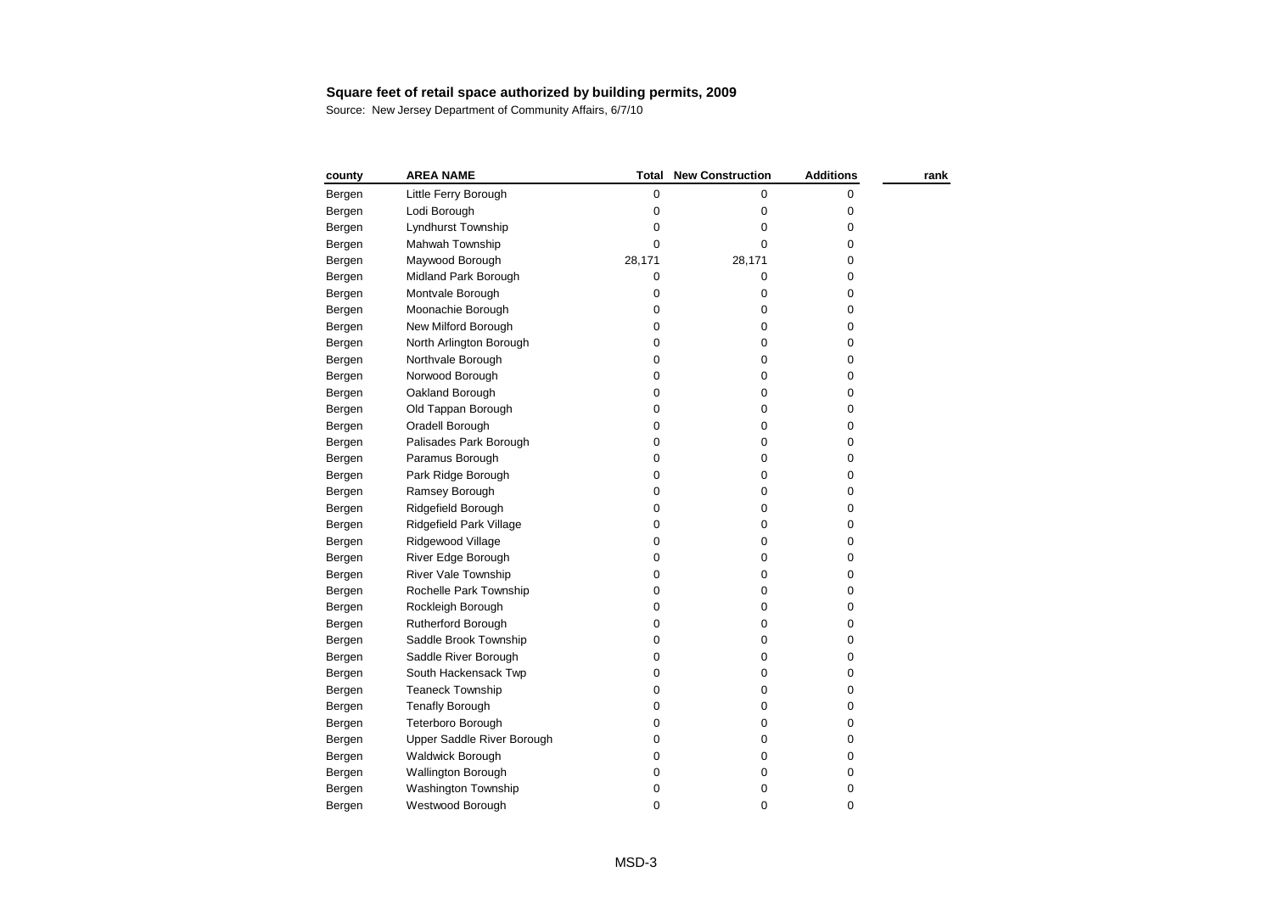| county | <b>AREA NAME</b>           | Total     | <b>New Construction</b> | <b>Additions</b> | rank |
|--------|----------------------------|-----------|-------------------------|------------------|------|
| Bergen | Little Ferry Borough       | 0         | 0                       | 0                |      |
| Bergen | Lodi Borough               | 0         | 0                       | 0                |      |
| Bergen | Lyndhurst Township         | 0         | 0                       | 0                |      |
| Bergen | Mahwah Township            | 0         | 0                       | 0                |      |
| Bergen | Maywood Borough            | 28,171    | 28,171                  | 0                |      |
| Bergen | Midland Park Borough       | 0         | 0                       | 0                |      |
| Bergen | Montvale Borough           | 0         | 0                       | 0                |      |
| Bergen | Moonachie Borough          | 0         | 0                       | 0                |      |
| Bergen | New Milford Borough        | 0         | 0                       | 0                |      |
| Bergen | North Arlington Borough    | 0         | 0                       | 0                |      |
| Bergen | Northvale Borough          | $\pmb{0}$ | 0                       | 0                |      |
| Bergen | Norwood Borough            | 0         | 0                       | 0                |      |
| Bergen | Oakland Borough            | $\pmb{0}$ | 0                       | 0                |      |
| Bergen | Old Tappan Borough         | 0         | 0                       | 0                |      |
| Bergen | Oradell Borough            | 0         | 0                       | 0                |      |
| Bergen | Palisades Park Borough     | 0         | 0                       | 0                |      |
| Bergen | Paramus Borough            | 0         | 0                       | 0                |      |
| Bergen | Park Ridge Borough         | 0         | 0                       | 0                |      |
| Bergen | Ramsey Borough             | 0         | 0                       | 0                |      |
| Bergen | Ridgefield Borough         | $\pmb{0}$ | 0                       | 0                |      |
| Bergen | Ridgefield Park Village    | 0         | 0                       | 0                |      |
| Bergen | Ridgewood Village          | $\pmb{0}$ | 0                       | 0                |      |
| Bergen | River Edge Borough         | 0         | 0                       | 0                |      |
| Bergen | <b>River Vale Township</b> | 0         | 0                       | 0                |      |
| Bergen | Rochelle Park Township     | 0         | 0                       | 0                |      |
| Bergen | Rockleigh Borough          | 0         | 0                       | 0                |      |
| Bergen | Rutherford Borough         | 0         | 0                       | 0                |      |
| Bergen | Saddle Brook Township      | 0         | 0                       | 0                |      |
| Bergen | Saddle River Borough       | 0         | 0                       | 0                |      |
| Bergen | South Hackensack Twp       | 0         | 0                       | 0                |      |
| Bergen | <b>Teaneck Township</b>    | 0         | 0                       | 0                |      |
| Bergen | <b>Tenafly Borough</b>     | 0         | 0                       | 0                |      |
| Bergen | Teterboro Borough          | 0         | 0                       | 0                |      |
| Bergen | Upper Saddle River Borough | 0         | 0                       | 0                |      |
| Bergen | <b>Waldwick Borough</b>    | $\pmb{0}$ | 0                       | 0                |      |
| Bergen | Wallington Borough         | 0         | 0                       | 0                |      |
| Bergen | <b>Washington Township</b> | 0         | 0                       | 0                |      |
| Bergen | Westwood Borough           | 0         | 0                       | 0                |      |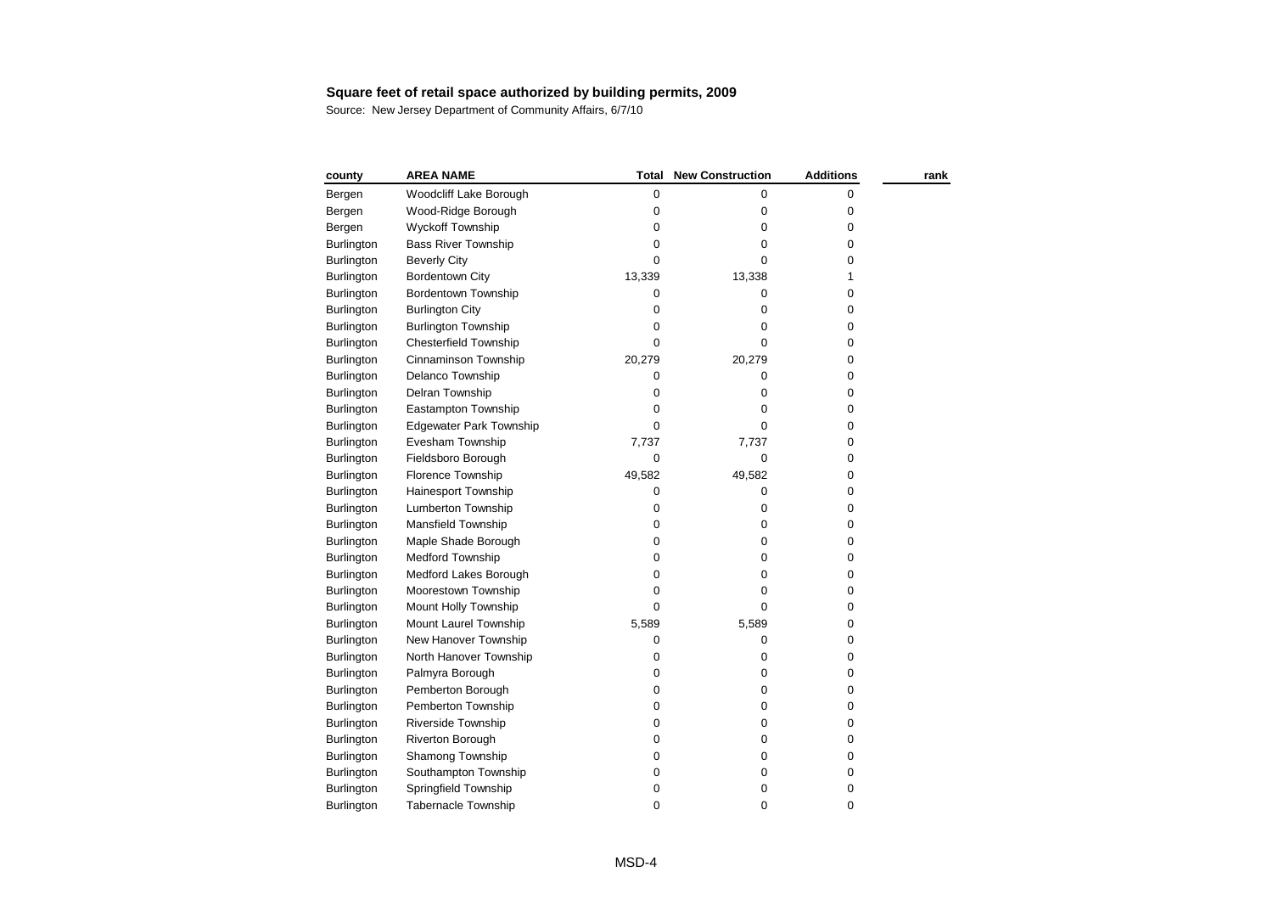| county            | <b>AREA NAME</b>               | Total       | <b>New Construction</b> | <b>Additions</b> | rank |
|-------------------|--------------------------------|-------------|-------------------------|------------------|------|
| Bergen            | Woodcliff Lake Borough         | 0           | 0                       | 0                |      |
| Bergen            | Wood-Ridge Borough             | 0           | $\pmb{0}$               | 0                |      |
| Bergen            | <b>Wyckoff Township</b>        | 0           | 0                       | 0                |      |
| Burlington        | <b>Bass River Township</b>     | 0           | 0                       | 0                |      |
| <b>Burlington</b> | <b>Beverly City</b>            | 0           | 0                       | 0                |      |
| <b>Burlington</b> | <b>Bordentown City</b>         | 13,339      | 13,338                  | 1                |      |
| <b>Burlington</b> | <b>Bordentown Township</b>     | 0           | 0                       | 0                |      |
| Burlington        | <b>Burlington City</b>         | 0           | 0                       | 0                |      |
| <b>Burlington</b> | <b>Burlington Township</b>     | 0           | 0                       | 0                |      |
| <b>Burlington</b> | <b>Chesterfield Township</b>   | 0           | 0                       | 0                |      |
| <b>Burlington</b> | Cinnaminson Township           | 20,279      | 20,279                  | 0                |      |
| <b>Burlington</b> | Delanco Township               | 0           | 0                       | 0                |      |
| <b>Burlington</b> | Delran Township                | 0           | 0                       | 0                |      |
| Burlington        | Eastampton Township            | 0           | 0                       | 0                |      |
| <b>Burlington</b> | <b>Edgewater Park Township</b> | 0           | 0                       | 0                |      |
| <b>Burlington</b> | Evesham Township               | 7,737       | 7,737                   | 0                |      |
| Burlington        | Fieldsboro Borough             | $\mathbf 0$ | $\mathbf 0$             | 0                |      |
| <b>Burlington</b> | <b>Florence Township</b>       | 49,582      | 49,582                  | 0                |      |
| Burlington        | Hainesport Township            | 0           | 0                       | 0                |      |
| <b>Burlington</b> | <b>Lumberton Township</b>      | $\pmb{0}$   | 0                       | 0                |      |
| <b>Burlington</b> | Mansfield Township             | 0           | 0                       | 0                |      |
| <b>Burlington</b> | Maple Shade Borough            | 0           | 0                       | 0                |      |
| <b>Burlington</b> | <b>Medford Township</b>        | 0           | $\mathbf 0$             | 0                |      |
| <b>Burlington</b> | Medford Lakes Borough          | 0           | 0                       | 0                |      |
| <b>Burlington</b> | Moorestown Township            | $\pmb{0}$   | 0                       | 0                |      |
| <b>Burlington</b> | Mount Holly Township           | 0           | 0                       | 0                |      |
| <b>Burlington</b> | Mount Laurel Township          | 5,589       | 5,589                   | 0                |      |
| <b>Burlington</b> | New Hanover Township           | 0           | 0                       | 0                |      |
| Burlington        | North Hanover Township         | 0           | 0                       | 0                |      |
| <b>Burlington</b> | Palmyra Borough                | 0           | $\pmb{0}$               | 0                |      |
| <b>Burlington</b> | Pemberton Borough              | $\pmb{0}$   | $\mathbf 0$             | 0                |      |
| <b>Burlington</b> | Pemberton Township             | 0           | $\pmb{0}$               | 0                |      |
| <b>Burlington</b> | Riverside Township             | 0           | $\pmb{0}$               | 0                |      |
| Burlington        | Riverton Borough               | 0           | $\mathbf 0$             | 0                |      |
| <b>Burlington</b> | Shamong Township               | 0           | $\pmb{0}$               | 0                |      |
| <b>Burlington</b> | Southampton Township           | 0           | $\pmb{0}$               | 0                |      |
| <b>Burlington</b> | Springfield Township           | 0           | 0                       | 0                |      |
| Burlington        | <b>Tabernacle Township</b>     | 0           | 0                       | 0                |      |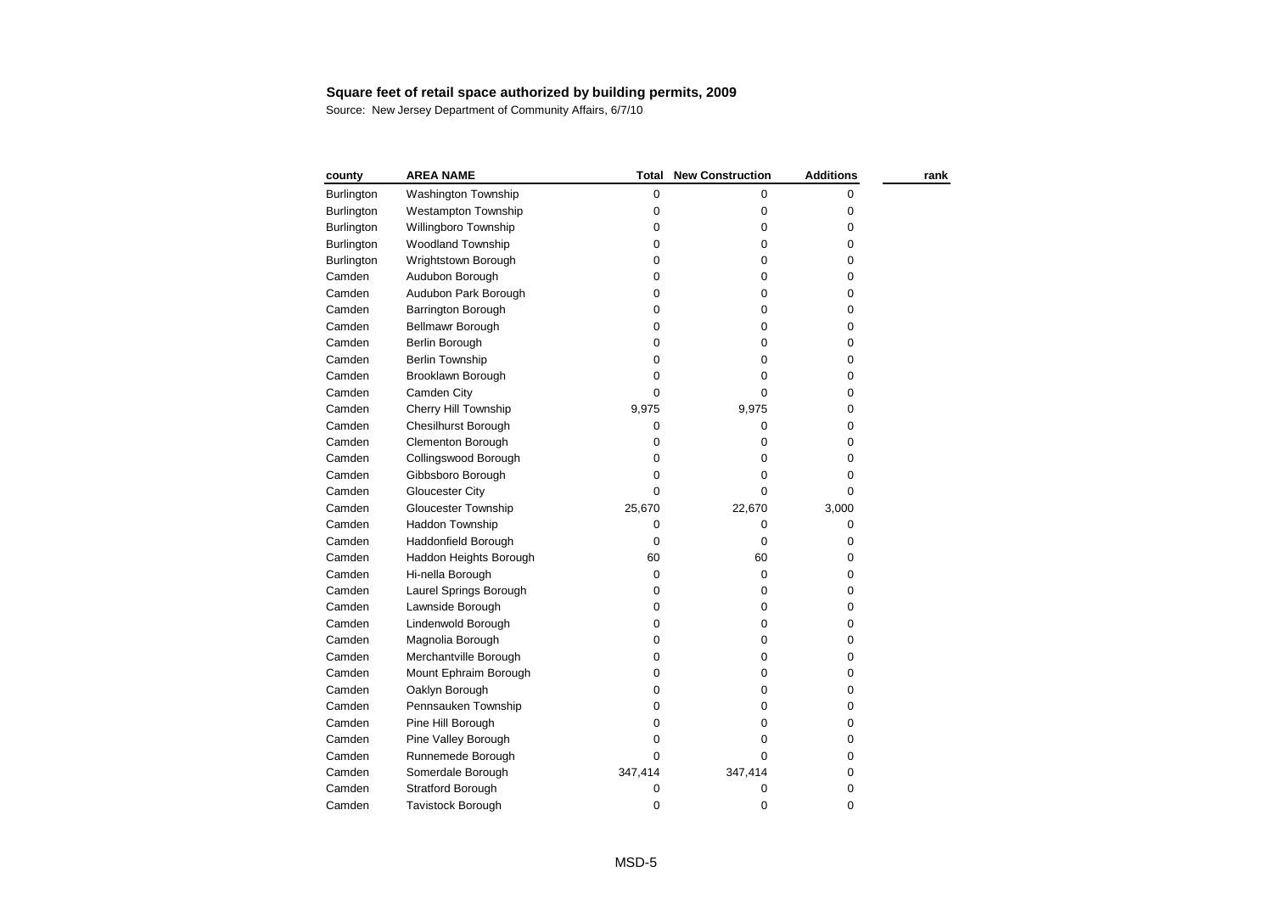| county            | <b>AREA NAME</b>           | Total       | <b>New Construction</b> | <b>Additions</b> | rank |
|-------------------|----------------------------|-------------|-------------------------|------------------|------|
| <b>Burlington</b> | <b>Washington Township</b> | 0           | 0                       | 0                |      |
| <b>Burlington</b> | <b>Westampton Township</b> | 0           | 0                       | 0                |      |
| <b>Burlington</b> | Willingboro Township       | 0           | 0                       | 0                |      |
| <b>Burlington</b> | <b>Woodland Township</b>   | 0           | 0                       | 0                |      |
| Burlington        | Wrightstown Borough        | 0           | 0                       | 0                |      |
| Camden            | Audubon Borough            | 0           | 0                       | 0                |      |
| Camden            | Audubon Park Borough       | 0           | 0                       | 0                |      |
| Camden            | <b>Barrington Borough</b>  | 0           | 0                       | 0                |      |
| Camden            | Bellmawr Borough           | 0           | 0                       | 0                |      |
| Camden            | Berlin Borough             | 0           | 0                       | 0                |      |
| Camden            | <b>Berlin Township</b>     | 0           | 0                       | 0                |      |
| Camden            | Brooklawn Borough          | 0           | 0                       | 0                |      |
| Camden            | Camden City                | 0           | 0                       | 0                |      |
| Camden            | Cherry Hill Township       | 9,975       | 9,975                   | 0                |      |
| Camden            | <b>Chesilhurst Borough</b> | 0           | 0                       | 0                |      |
| Camden            | <b>Clementon Borough</b>   | 0           | 0                       | 0                |      |
| Camden            | Collingswood Borough       | 0           | 0                       | 0                |      |
| Camden            | Gibbsboro Borough          | 0           | 0                       | 0                |      |
| Camden            | Gloucester City            | 0           | 0                       | 0                |      |
| Camden            | Gloucester Township        | 25,670      | 22,670                  | 3,000            |      |
| Camden            | <b>Haddon Township</b>     | 0           | 0                       | 0                |      |
| Camden            | Haddonfield Borough        | 0           | 0                       | 0                |      |
| Camden            | Haddon Heights Borough     | 60          | 60                      | 0                |      |
| Camden            | Hi-nella Borough           | 0           | 0                       | 0                |      |
| Camden            | Laurel Springs Borough     | $\mathbf 0$ | 0                       | 0                |      |
| Camden            | Lawnside Borough           | 0           | 0                       | 0                |      |
| Camden            | Lindenwold Borough         | 0           | 0                       | 0                |      |
| Camden            | Magnolia Borough           | 0           | 0                       | 0                |      |
| Camden            | Merchantville Borough      | 0           | 0                       | 0                |      |
| Camden            | Mount Ephraim Borough      | 0           | 0                       | 0                |      |
| Camden            | Oaklyn Borough             | 0           | 0                       | 0                |      |
| Camden            | Pennsauken Township        | 0           | 0                       | 0                |      |
| Camden            | Pine Hill Borough          | 0           | 0                       | 0                |      |
| Camden            | Pine Valley Borough        | 0           | 0                       | 0                |      |
| Camden            | Runnemede Borough          | 0           | 0                       | 0                |      |
| Camden            | Somerdale Borough          | 347,414     | 347,414                 | 0                |      |
| Camden            | <b>Stratford Borough</b>   | 0           | 0                       | 0                |      |
| Camden            | <b>Tavistock Borough</b>   | 0           | 0                       | 0                |      |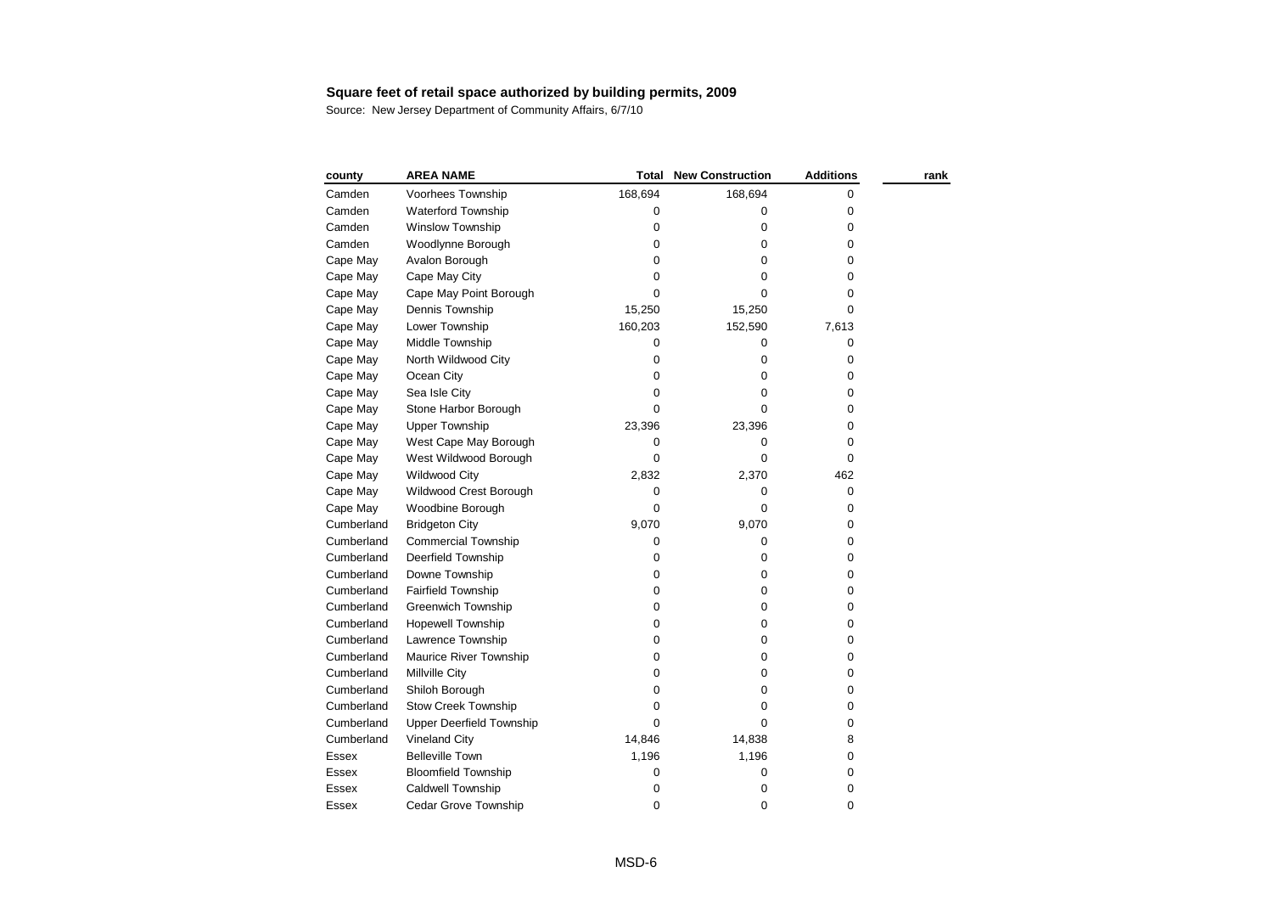| county       | <b>AREA NAME</b>                | Total       | <b>New Construction</b> | <b>Additions</b> | rank |
|--------------|---------------------------------|-------------|-------------------------|------------------|------|
| Camden       | Voorhees Township               | 168,694     | 168,694                 | 0                |      |
| Camden       | Waterford Township              | 0           | 0                       | 0                |      |
| Camden       | Winslow Township                | 0           | 0                       | 0                |      |
| Camden       | Woodlynne Borough               | 0           | 0                       | 0                |      |
| Cape May     | Avalon Borough                  | 0           | 0                       | 0                |      |
| Cape May     | Cape May City                   | 0           | 0                       | 0                |      |
| Cape May     | Cape May Point Borough          | $\mathbf 0$ | 0                       | 0                |      |
| Cape May     | Dennis Township                 | 15,250      | 15,250                  | 0                |      |
| Cape May     | Lower Township                  | 160,203     | 152,590                 | 7,613            |      |
| Cape May     | Middle Township                 | 0           | 0                       | 0                |      |
| Cape May     | North Wildwood City             | 0           | 0                       | 0                |      |
| Cape May     | Ocean City                      | 0           | 0                       | 0                |      |
| Cape May     | Sea Isle City                   | 0           | 0                       | 0                |      |
| Cape May     | Stone Harbor Borough            | $\Omega$    | 0                       | 0                |      |
| Cape May     | <b>Upper Township</b>           | 23,396      | 23,396                  | 0                |      |
| Cape May     | West Cape May Borough           | 0           | 0                       | 0                |      |
| Cape May     | West Wildwood Borough           | 0           | 0                       | 0                |      |
| Cape May     | <b>Wildwood City</b>            | 2,832       | 2,370                   | 462              |      |
| Cape May     | Wildwood Crest Borough          | 0           | 0                       | 0                |      |
| Cape May     | Woodbine Borough                | 0           | 0                       | 0                |      |
| Cumberland   | <b>Bridgeton City</b>           | 9,070       | 9,070                   | 0                |      |
| Cumberland   | <b>Commercial Township</b>      | 0           | 0                       | 0                |      |
| Cumberland   | Deerfield Township              | 0           | 0                       | 0                |      |
| Cumberland   | Downe Township                  | $\pmb{0}$   | 0                       | 0                |      |
| Cumberland   | <b>Fairfield Township</b>       | 0           | 0                       | 0                |      |
| Cumberland   | <b>Greenwich Township</b>       | $\pmb{0}$   | 0                       | 0                |      |
| Cumberland   | <b>Hopewell Township</b>        | $\pmb{0}$   | 0                       | 0                |      |
| Cumberland   | Lawrence Township               | 0           | 0                       | 0                |      |
| Cumberland   | Maurice River Township          | 0           | 0                       | 0                |      |
| Cumberland   | Millville City                  | 0           | 0                       | 0                |      |
| Cumberland   | Shiloh Borough                  | 0           | 0                       | 0                |      |
| Cumberland   | <b>Stow Creek Township</b>      | 0           | 0                       | 0                |      |
| Cumberland   | <b>Upper Deerfield Township</b> | 0           | 0                       | 0                |      |
| Cumberland   | <b>Vineland City</b>            | 14,846      | 14,838                  | 8                |      |
| Essex        | <b>Belleville Town</b>          | 1,196       | 1,196                   | 0                |      |
| Essex        | <b>Bloomfield Township</b>      | 0           | 0                       | 0                |      |
| <b>Essex</b> | Caldwell Township               | 0           | 0                       | 0                |      |
| Essex        | Cedar Grove Township            | 0           | 0                       | 0                |      |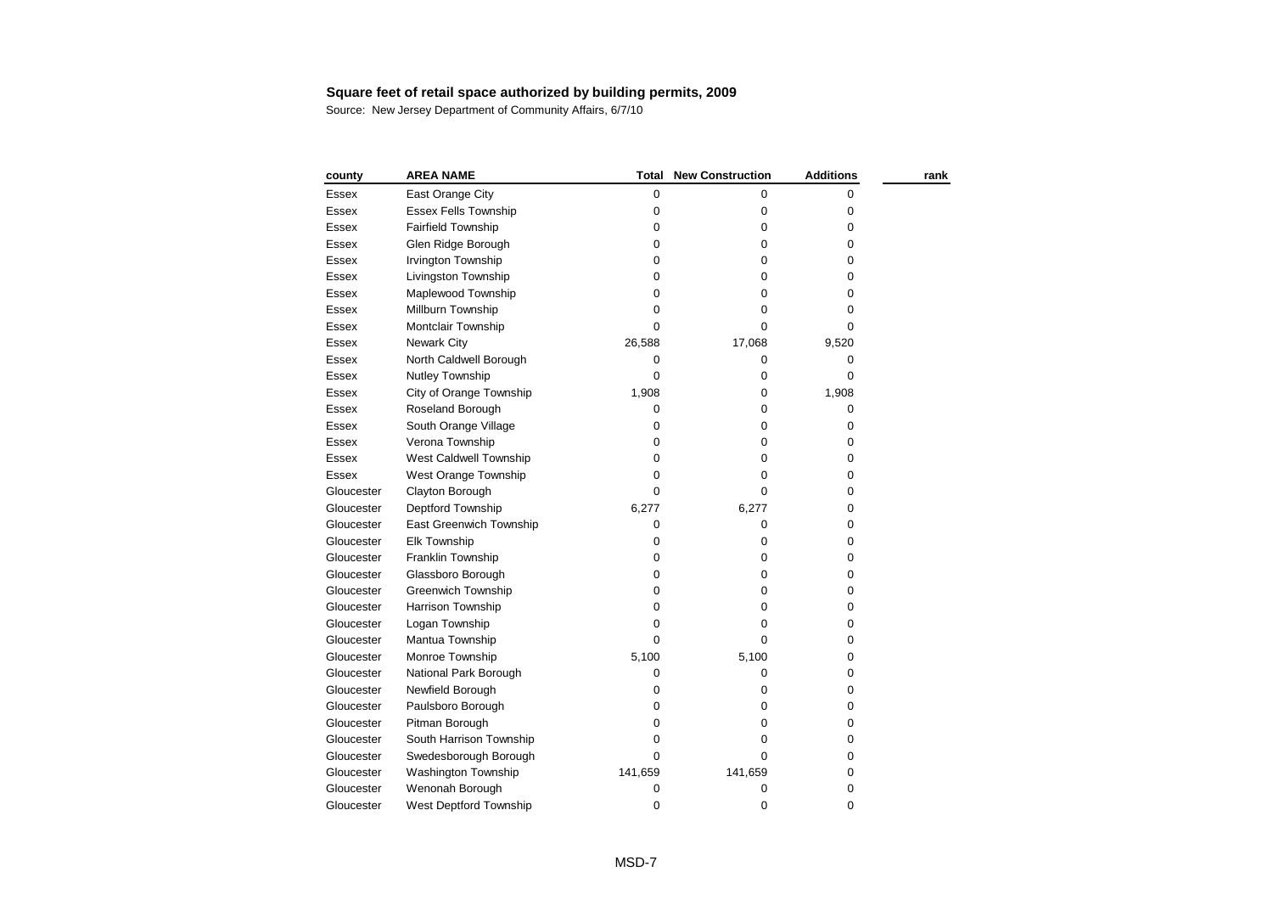| county       | <b>AREA NAME</b>            | <b>Total</b> | <b>New Construction</b> | <b>Additions</b> | rank |
|--------------|-----------------------------|--------------|-------------------------|------------------|------|
| Essex        | East Orange City            | 0            | 0                       | 0                |      |
| <b>Essex</b> | <b>Essex Fells Township</b> | 0            | 0                       | 0                |      |
| <b>Essex</b> | Fairfield Township          | 0            | 0                       | 0                |      |
| <b>Essex</b> | Glen Ridge Borough          | 0            | 0                       | 0                |      |
| <b>Essex</b> | Irvington Township          | 0            | 0                       | 0                |      |
| Essex        | Livingston Township         | 0            | 0                       | 0                |      |
| <b>Essex</b> | Maplewood Township          | 0            | 0                       | 0                |      |
| Essex        | Millburn Township           | 0            | 0                       | 0                |      |
| Essex        | Montclair Township          | 0            | 0                       | 0                |      |
| Essex        | Newark City                 | 26,588       | 17,068                  | 9,520            |      |
| Essex        | North Caldwell Borough      | 0            | 0                       | 0                |      |
| Essex        | Nutley Township             | 0            | 0                       | 0                |      |
| Essex        | City of Orange Township     | 1,908        | $\pmb{0}$               | 1,908            |      |
| Essex        | Roseland Borough            | 0            | 0                       | 0                |      |
| <b>Essex</b> | South Orange Village        | 0            | 0                       | 0                |      |
| <b>Essex</b> | Verona Township             | 0            | 0                       | 0                |      |
| Essex        | West Caldwell Township      | 0            | 0                       | 0                |      |
| <b>Essex</b> | West Orange Township        | 0            | 0                       | 0                |      |
| Gloucester   | Clayton Borough             | 0            | 0                       | 0                |      |
| Gloucester   | Deptford Township           | 6,277        | 6,277                   | 0                |      |
| Gloucester   | East Greenwich Township     | 0            | 0                       | 0                |      |
| Gloucester   | <b>Elk Township</b>         | 0            | 0                       | 0                |      |
| Gloucester   | Franklin Township           | 0            | 0                       | 0                |      |
| Gloucester   | Glassboro Borough           | 0            | $\pmb{0}$               | 0                |      |
| Gloucester   | <b>Greenwich Township</b>   | 0            | 0                       | 0                |      |
| Gloucester   | Harrison Township           | $\mathbf 0$  | 0                       | 0                |      |
| Gloucester   | Logan Township              | 0            | 0                       | 0                |      |
| Gloucester   | Mantua Township             | 0            | 0                       | 0                |      |
| Gloucester   | Monroe Township             | 5,100        | 5,100                   | 0                |      |
| Gloucester   | National Park Borough       | 0            | 0                       | 0                |      |
| Gloucester   | Newfield Borough            | 0            | 0                       | 0                |      |
| Gloucester   | Paulsboro Borough           | 0            | 0                       | 0                |      |
| Gloucester   | Pitman Borough              | 0            | $\pmb{0}$               | 0                |      |
| Gloucester   | South Harrison Township     | 0            | 0                       | 0                |      |
| Gloucester   | Swedesborough Borough       | 0            | 0                       | 0                |      |
| Gloucester   | Washington Township         | 141,659      | 141,659                 | 0                |      |
| Gloucester   | Wenonah Borough             | 0            | 0                       | 0                |      |
| Gloucester   | West Deptford Township      | 0            | 0                       | 0                |      |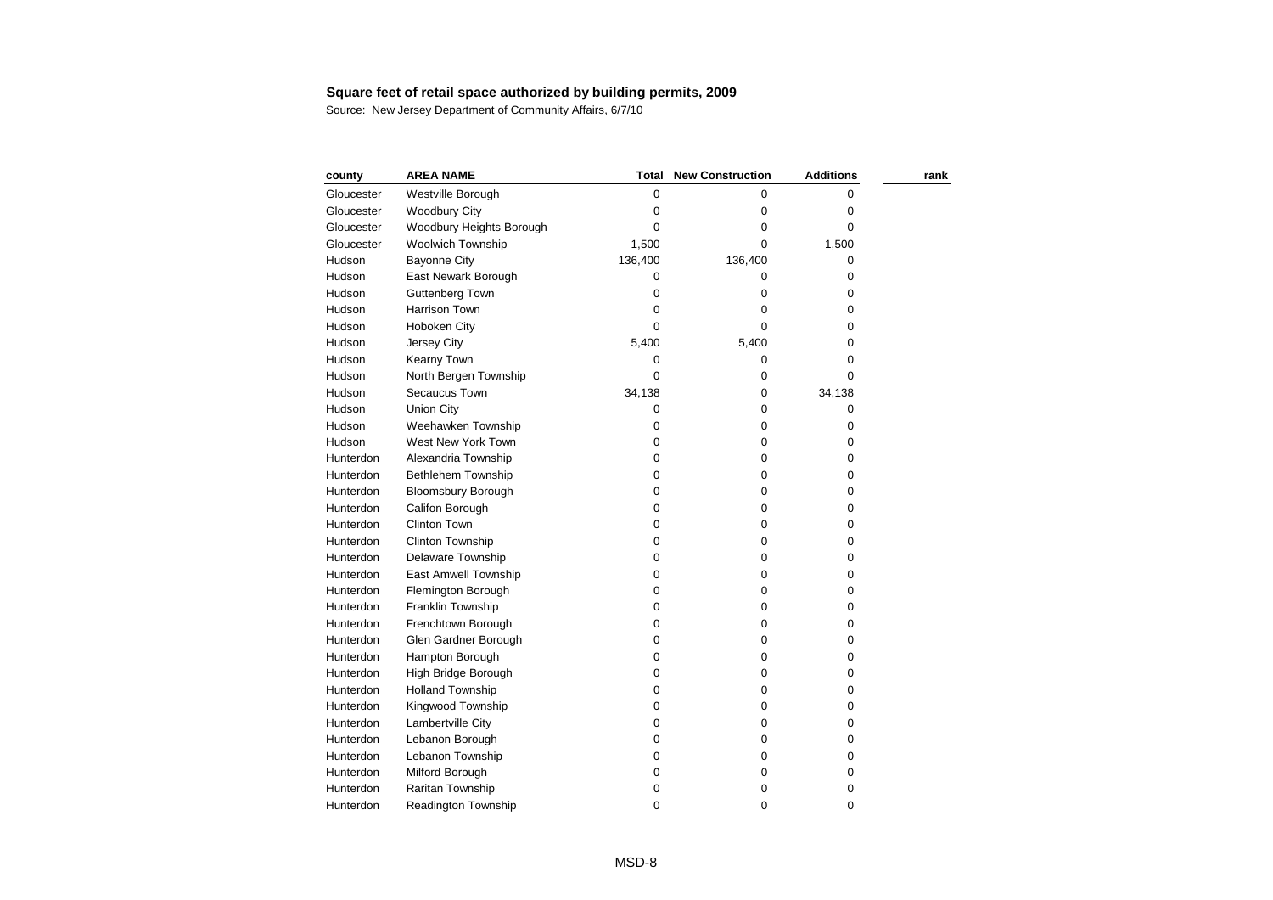| county     | <b>AREA NAME</b>          | <b>Total</b> | <b>New Construction</b> | <b>Additions</b> | rank |
|------------|---------------------------|--------------|-------------------------|------------------|------|
| Gloucester | Westville Borough         | 0            | 0                       | 0                |      |
| Gloucester | <b>Woodbury City</b>      | 0            | 0                       | 0                |      |
| Gloucester | Woodbury Heights Borough  | 0            | 0                       | 0                |      |
| Gloucester | <b>Woolwich Township</b>  | 1,500        | $\mathbf 0$             | 1,500            |      |
| Hudson     | <b>Bayonne City</b>       | 136,400      | 136,400                 | 0                |      |
| Hudson     | East Newark Borough       | 0            | 0                       | 0                |      |
| Hudson     | <b>Guttenberg Town</b>    | 0            | 0                       | 0                |      |
| Hudson     | <b>Harrison Town</b>      | 0            | 0                       | 0                |      |
| Hudson     | Hoboken City              | 0            | $\Omega$                | 0                |      |
| Hudson     | Jersey City               | 5,400        | 5,400                   | 0                |      |
| Hudson     | Kearny Town               | 0            | 0                       | 0                |      |
| Hudson     | North Bergen Township     | $\mathbf 0$  | $\pmb{0}$               | 0                |      |
| Hudson     | Secaucus Town             | 34,138       | $\pmb{0}$               | 34,138           |      |
| Hudson     | Union City                | 0            | 0                       | 0                |      |
| Hudson     | Weehawken Township        | 0            | $\pmb{0}$               | 0                |      |
| Hudson     | West New York Town        | 0            | 0                       | 0                |      |
| Hunterdon  | Alexandria Township       | 0            | $\pmb{0}$               | 0                |      |
| Hunterdon  | Bethlehem Township        | $\pmb{0}$    | $\pmb{0}$               | 0                |      |
| Hunterdon  | <b>Bloomsbury Borough</b> | $\pmb{0}$    | $\pmb{0}$               | 0                |      |
| Hunterdon  | Califon Borough           | 0            | 0                       | 0                |      |
| Hunterdon  | <b>Clinton Town</b>       | $\pmb{0}$    | 0                       | 0                |      |
| Hunterdon  | Clinton Township          | 0            | 0                       | 0                |      |
| Hunterdon  | Delaware Township         | 0            | 0                       | 0                |      |
| Hunterdon  | East Amwell Township      | $\pmb{0}$    | $\pmb{0}$               | 0                |      |
| Hunterdon  | Flemington Borough        | $\mathbf 0$  | $\pmb{0}$               | 0                |      |
| Hunterdon  | Franklin Township         | 0            | 0                       | 0                |      |
| Hunterdon  | Frenchtown Borough        | 0            | $\pmb{0}$               | 0                |      |
| Hunterdon  | Glen Gardner Borough      | 0            | 0                       | 0                |      |
| Hunterdon  | Hampton Borough           | $\pmb{0}$    | 0                       | 0                |      |
| Hunterdon  | High Bridge Borough       | $\pmb{0}$    | $\pmb{0}$               | 0                |      |
| Hunterdon  | <b>Holland Township</b>   | 0            | 0                       | 0                |      |
| Hunterdon  | Kingwood Township         | 0            | 0                       | 0                |      |
| Hunterdon  | Lambertville City         | $\pmb{0}$    | $\pmb{0}$               | 0                |      |
| Hunterdon  | Lebanon Borough           | $\pmb{0}$    | 0                       | 0                |      |
| Hunterdon  | Lebanon Township          | 0            | 0                       | 0                |      |
| Hunterdon  | Milford Borough           | 0            | 0                       | 0                |      |
| Hunterdon  | Raritan Township          | 0            | 0                       | 0                |      |
| Hunterdon  | Readington Township       | 0            | 0                       | 0                |      |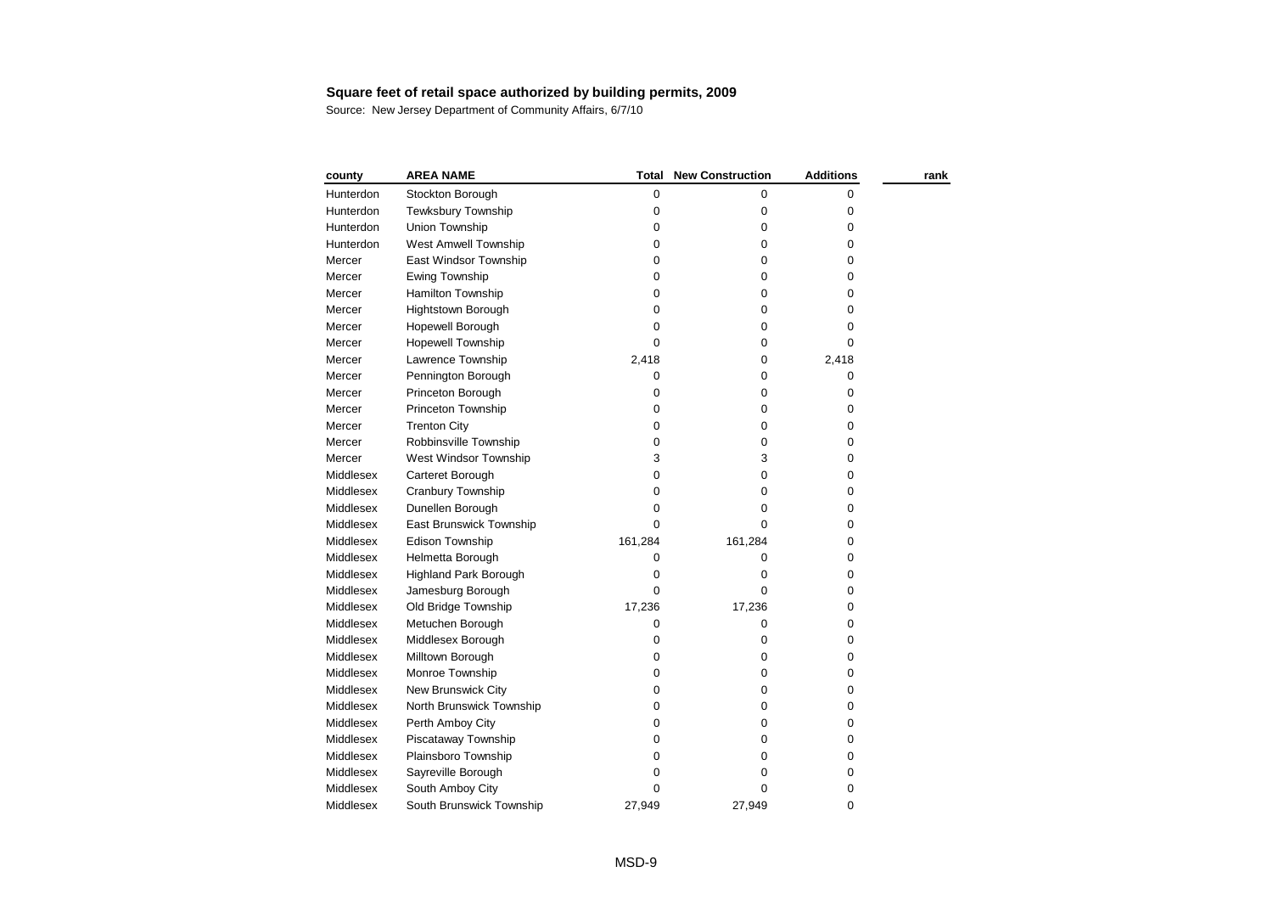| county    | <b>AREA NAME</b>             | Total       | <b>New Construction</b> | <b>Additions</b> | rank |
|-----------|------------------------------|-------------|-------------------------|------------------|------|
| Hunterdon | Stockton Borough             | 0           | 0                       | 0                |      |
| Hunterdon | Tewksbury Township           | 0           | 0                       | 0                |      |
| Hunterdon | Union Township               | 0           | 0                       | 0                |      |
| Hunterdon | West Amwell Township         | 0           | 0                       | 0                |      |
| Mercer    | East Windsor Township        | 0           | 0                       | 0                |      |
| Mercer    | Ewing Township               | 0           | 0                       | 0                |      |
| Mercer    | Hamilton Township            | $\mathbf 0$ | 0                       | 0                |      |
| Mercer    | Hightstown Borough           | 0           | 0                       | 0                |      |
| Mercer    | Hopewell Borough             | 0           | 0                       | 0                |      |
| Mercer    | <b>Hopewell Township</b>     | 0           | 0                       | 0                |      |
| Mercer    | Lawrence Township            | 2,418       | 0                       | 2,418            |      |
| Mercer    | Pennington Borough           | 0           | 0                       | 0                |      |
| Mercer    | Princeton Borough            | 0           | 0                       | 0                |      |
| Mercer    | Princeton Township           | 0           | 0                       | 0                |      |
| Mercer    | <b>Trenton City</b>          | 0           | 0                       | 0                |      |
| Mercer    | Robbinsville Township        | 0           | 0                       | 0                |      |
| Mercer    | West Windsor Township        | 3           | 3                       | 0                |      |
| Middlesex | Carteret Borough             | 0           | 0                       | 0                |      |
| Middlesex | Cranbury Township            | 0           | 0                       | 0                |      |
| Middlesex | Dunellen Borough             | 0           | 0                       | 0                |      |
| Middlesex | East Brunswick Township      | 0           | 0                       | 0                |      |
| Middlesex | Edison Township              | 161,284     | 161,284                 | 0                |      |
| Middlesex | Helmetta Borough             | 0           | 0                       | 0                |      |
| Middlesex | <b>Highland Park Borough</b> | 0           | 0                       | 0                |      |
| Middlesex | Jamesburg Borough            | $\Omega$    | 0                       | 0                |      |
| Middlesex | Old Bridge Township          | 17,236      | 17,236                  | 0                |      |
| Middlesex | Metuchen Borough             | 0           | 0                       | 0                |      |
| Middlesex | Middlesex Borough            | 0           | 0                       | 0                |      |
| Middlesex | Milltown Borough             | 0           | 0                       | 0                |      |
| Middlesex | Monroe Township              | 0           | 0                       | 0                |      |
| Middlesex | New Brunswick City           | 0           | 0                       | 0                |      |
| Middlesex | North Brunswick Township     | 0           | 0                       | 0                |      |
| Middlesex | Perth Amboy City             | 0           | 0                       | 0                |      |
| Middlesex | Piscataway Township          | 0           | 0                       | 0                |      |
| Middlesex | Plainsboro Township          | 0           | 0                       | 0                |      |
| Middlesex | Sayreville Borough           | 0           | 0                       | 0                |      |
| Middlesex | South Amboy City             | $\Omega$    | 0                       | 0                |      |
| Middlesex | South Brunswick Township     | 27,949      | 27,949                  | 0                |      |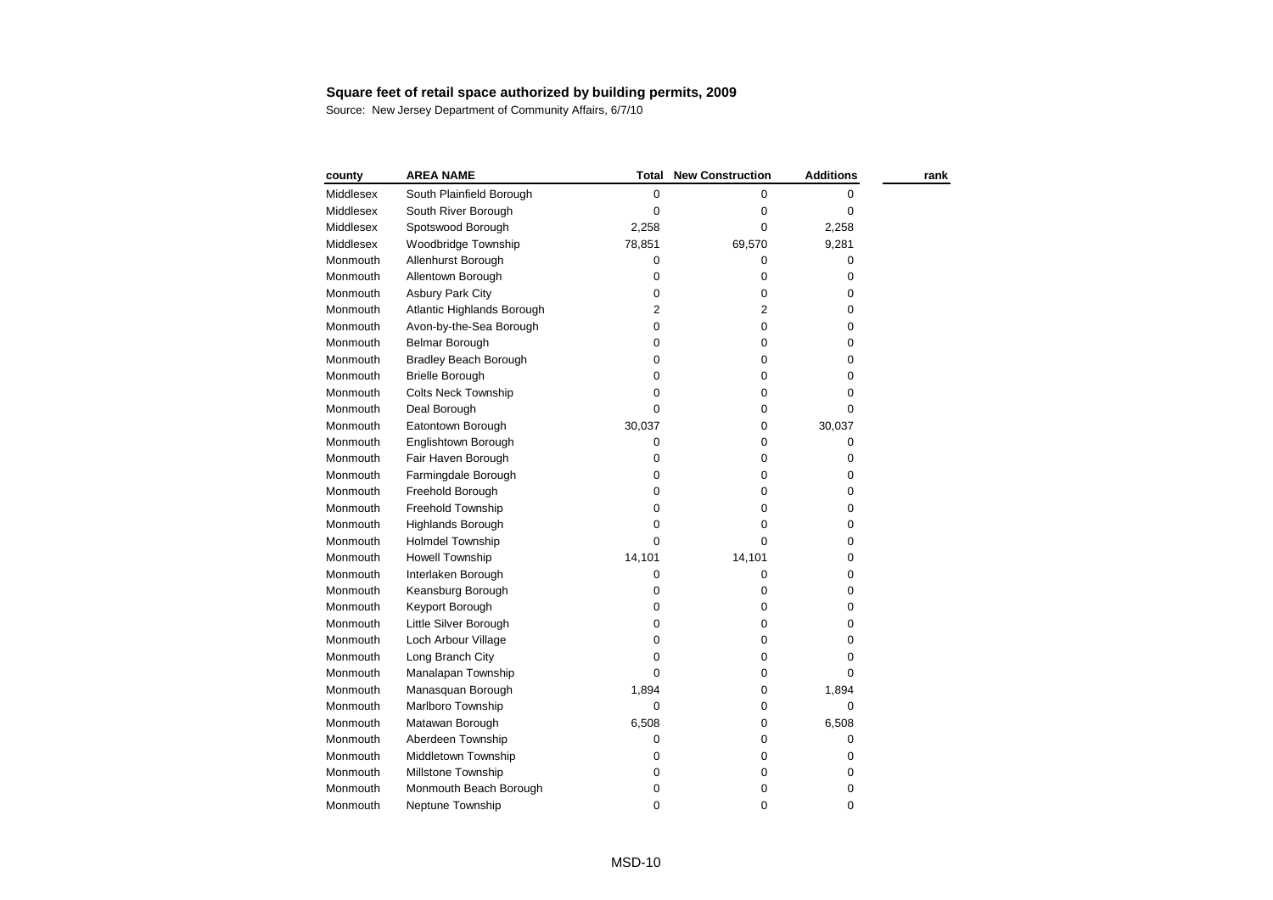| county    | <b>AREA NAME</b>             | Total     | <b>New Construction</b> | <b>Additions</b> | rank |
|-----------|------------------------------|-----------|-------------------------|------------------|------|
| Middlesex | South Plainfield Borough     | 0         | 0                       | 0                |      |
| Middlesex | South River Borough          | 0         | 0                       | 0                |      |
| Middlesex | Spotswood Borough            | 2,258     | 0                       | 2,258            |      |
| Middlesex | Woodbridge Township          | 78,851    | 69,570                  | 9,281            |      |
| Monmouth  | Allenhurst Borough           | 0         | 0                       | 0                |      |
| Monmouth  | Allentown Borough            | 0         | 0                       | 0                |      |
| Monmouth  | <b>Asbury Park City</b>      | 0         | 0                       | 0                |      |
| Monmouth  | Atlantic Highlands Borough   | 2         | $\overline{2}$          | 0                |      |
| Monmouth  | Avon-by-the-Sea Borough      | 0         | 0                       | 0                |      |
| Monmouth  | Belmar Borough               | 0         | 0                       | 0                |      |
| Monmouth  | <b>Bradley Beach Borough</b> | 0         | 0                       | 0                |      |
| Monmouth  | <b>Brielle Borough</b>       | 0         | 0                       | 0                |      |
| Monmouth  | <b>Colts Neck Township</b>   | 0         | 0                       | 0                |      |
| Monmouth  | Deal Borough                 | 0         | 0                       | 0                |      |
| Monmouth  | Eatontown Borough            | 30,037    | 0                       | 30,037           |      |
| Monmouth  | Englishtown Borough          | 0         | 0                       | 0                |      |
| Monmouth  | Fair Haven Borough           | 0         | 0                       | 0                |      |
| Monmouth  | Farmingdale Borough          | 0         | 0                       | 0                |      |
| Monmouth  | Freehold Borough             | 0         | 0                       | 0                |      |
| Monmouth  | Freehold Township            | 0         | 0                       | 0                |      |
| Monmouth  | Highlands Borough            | $\pmb{0}$ | 0                       | 0                |      |
| Monmouth  | <b>Holmdel Township</b>      | 0         | 0                       | 0                |      |
| Monmouth  | <b>Howell Township</b>       | 14,101    | 14,101                  | 0                |      |
| Monmouth  | Interlaken Borough           | 0         | 0                       | 0                |      |
| Monmouth  | Keansburg Borough            | 0         | 0                       | 0                |      |
| Monmouth  | Keyport Borough              | 0         | 0                       | 0                |      |
| Monmouth  | Little Silver Borough        | 0         | 0                       | 0                |      |
| Monmouth  | Loch Arbour Village          | 0         | 0                       | 0                |      |
| Monmouth  | Long Branch City             | 0         | 0                       | 0                |      |
| Monmouth  | Manalapan Township           | 0         | 0                       | 0                |      |
| Monmouth  | Manasquan Borough            | 1,894     | 0                       | 1,894            |      |
| Monmouth  | Marlboro Township            | $\pmb{0}$ | 0                       | 0                |      |
| Monmouth  | Matawan Borough              | 6,508     | 0                       | 6,508            |      |
| Monmouth  | Aberdeen Township            | 0         | 0                       | 0                |      |
| Monmouth  | Middletown Township          | 0         | 0                       | 0                |      |
| Monmouth  | Millstone Township           | 0         | 0                       | 0                |      |
| Monmouth  | Monmouth Beach Borough       | 0         | 0                       | 0                |      |
| Monmouth  | Neptune Township             | 0         | 0                       | 0                |      |
|           |                              |           |                         |                  |      |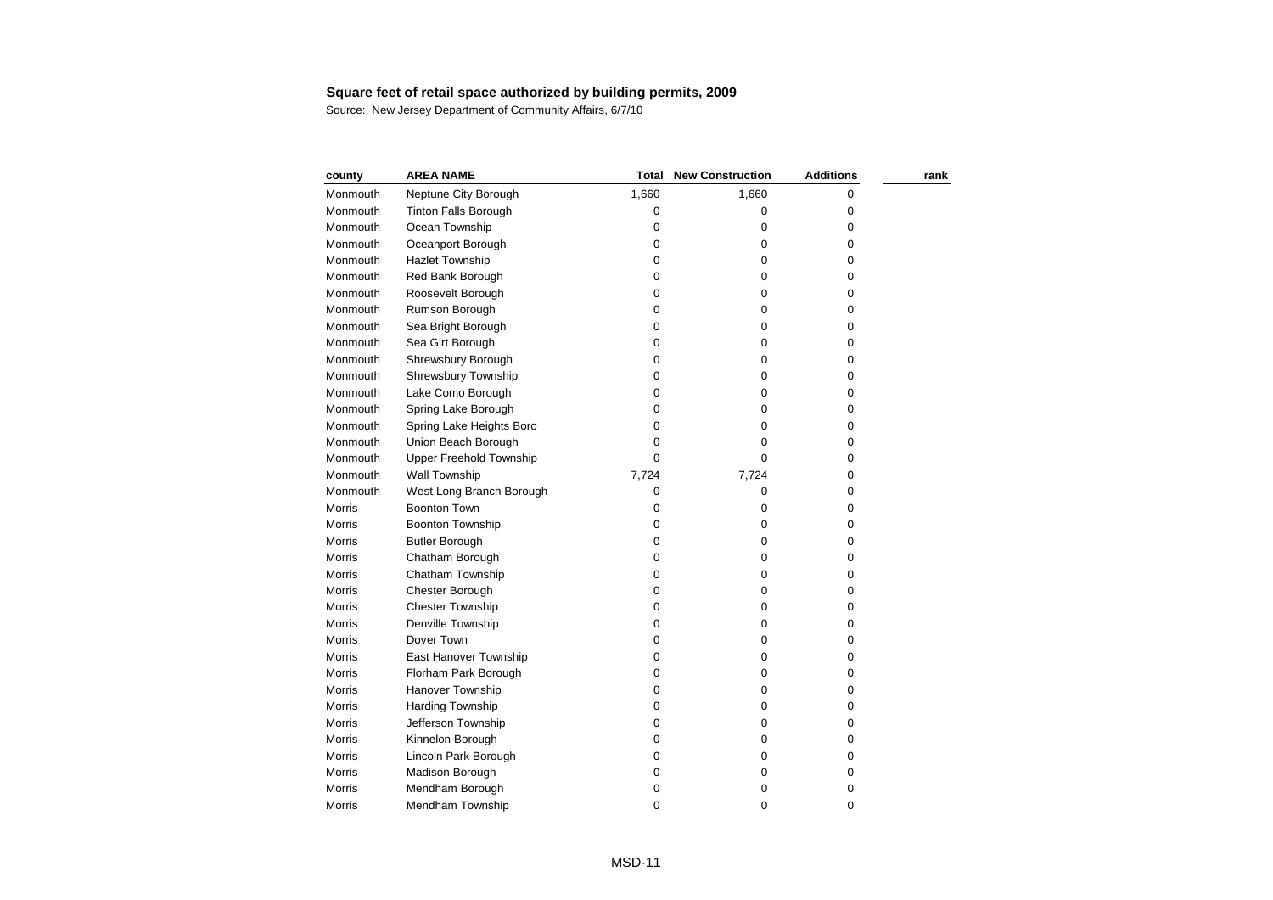| county        | <b>AREA NAME</b>            | Total     | <b>New Construction</b> | <b>Additions</b> | rank |
|---------------|-----------------------------|-----------|-------------------------|------------------|------|
| Monmouth      | Neptune City Borough        | 1,660     | 1,660                   | 0                |      |
| Monmouth      | <b>Tinton Falls Borough</b> | 0         | 0                       | 0                |      |
| Monmouth      | Ocean Township              | 0         | 0                       | 0                |      |
| Monmouth      | Oceanport Borough           | 0         | $\mathbf 0$             | 0                |      |
| Monmouth      | Hazlet Township             | 0         | 0                       | 0                |      |
| Monmouth      | Red Bank Borough            | 0         | 0                       | 0                |      |
| Monmouth      | Roosevelt Borough           | 0         | 0                       | 0                |      |
| Monmouth      | Rumson Borough              | 0         | 0                       | 0                |      |
| Monmouth      | Sea Bright Borough          | 0         | $\mathbf 0$             | 0                |      |
| Monmouth      | Sea Girt Borough            | 0         | 0                       | 0                |      |
| Monmouth      | Shrewsbury Borough          | $\pmb{0}$ | 0                       | 0                |      |
| Monmouth      | Shrewsbury Township         | 0         | 0                       | 0                |      |
| Monmouth      | Lake Como Borough           | 0         | 0                       | 0                |      |
| Monmouth      | Spring Lake Borough         | 0         | 0                       | 0                |      |
| Monmouth      | Spring Lake Heights Boro    | 0         | 0                       | 0                |      |
| Monmouth      | Union Beach Borough         | 0         | $\mathbf 0$             | 0                |      |
| Monmouth      | Upper Freehold Township     | 0         | 0                       | 0                |      |
| Monmouth      | Wall Township               | 7,724     | 7,724                   | 0                |      |
| Monmouth      | West Long Branch Borough    | 0         | 0                       | 0                |      |
| Morris        | <b>Boonton Town</b>         | 0         | 0                       | 0                |      |
| Morris        | <b>Boonton Township</b>     | 0         | 0                       | 0                |      |
| Morris        | <b>Butler Borough</b>       | 0         | 0                       | 0                |      |
| Morris        | Chatham Borough             | 0         | 0                       | 0                |      |
| Morris        | Chatham Township            | $\pmb{0}$ | 0                       | 0                |      |
| <b>Morris</b> | Chester Borough             | 0         | 0                       | 0                |      |
| Morris        | <b>Chester Township</b>     | 0         | 0                       | 0                |      |
| Morris        | Denville Township           | 0         | 0                       | 0                |      |
| <b>Morris</b> | Dover Town                  | 0         | 0                       | 0                |      |
| Morris        | East Hanover Township       | 0         | $\pmb{0}$               | 0                |      |
| Morris        | Florham Park Borough        | 0         | 0                       | 0                |      |
| <b>Morris</b> | Hanover Township            | 0         | $\mathbf 0$             | 0                |      |
| Morris        | Harding Township            | 0         | $\pmb{0}$               | 0                |      |
| Morris        | Jefferson Township          | 0         | 0                       | 0                |      |
| <b>Morris</b> | Kinnelon Borough            | 0         | 0                       | 0                |      |
| Morris        | Lincoln Park Borough        | 0         | 0                       | 0                |      |
| Morris        | Madison Borough             | 0         | 0                       | 0                |      |
| <b>Morris</b> | Mendham Borough             | 0         | 0                       | 0                |      |
| Morris        | Mendham Township            | 0         | 0                       | 0                |      |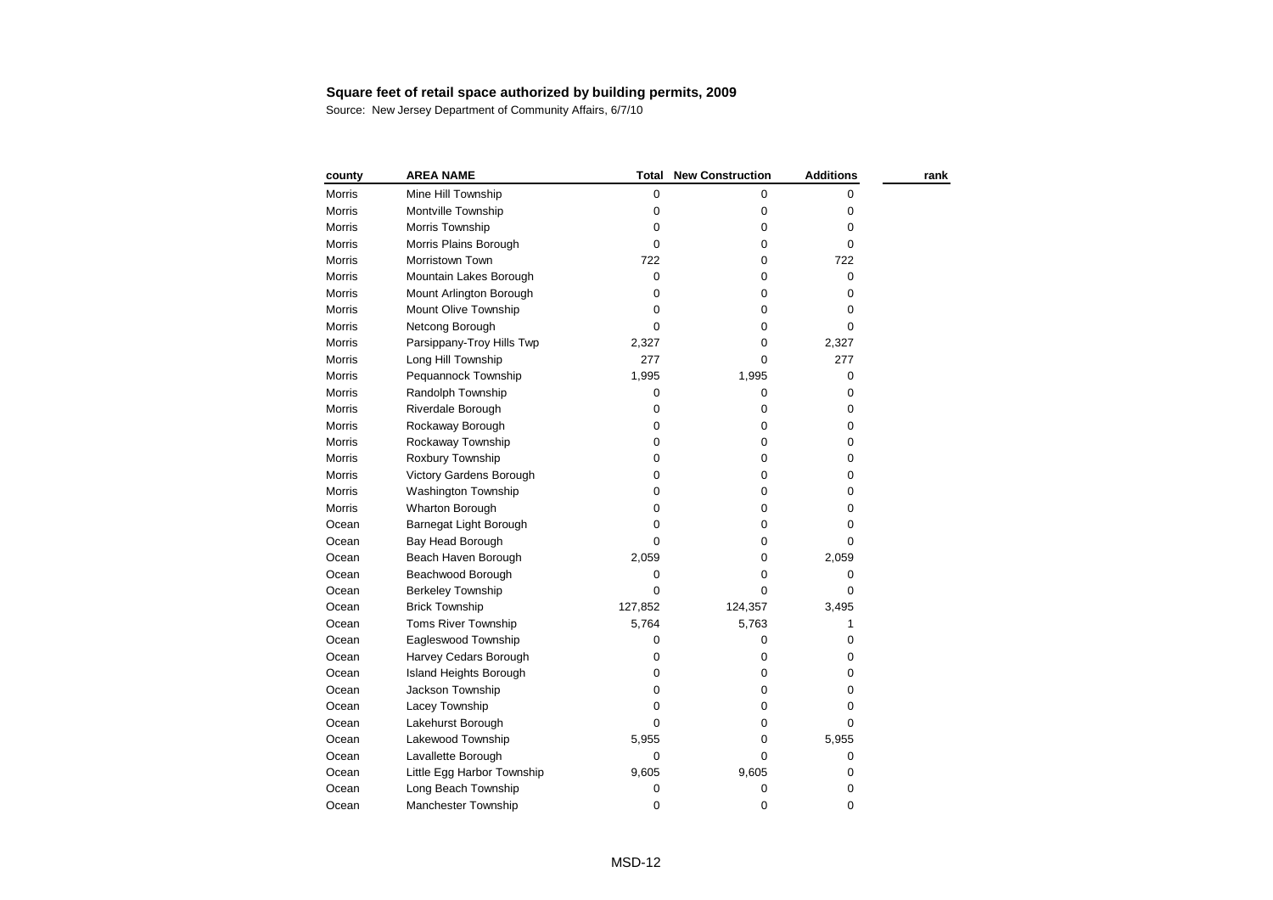| county        | <b>AREA NAME</b>           | <b>Total</b> | <b>New Construction</b> | <b>Additions</b> | rank |
|---------------|----------------------------|--------------|-------------------------|------------------|------|
| <b>Morris</b> | Mine Hill Township         | $\mathbf 0$  | 0                       | 0                |      |
| Morris        | Montville Township         | 0            | 0                       | 0                |      |
| Morris        | Morris Township            | 0            | 0                       | 0                |      |
| <b>Morris</b> | Morris Plains Borough      | $\mathbf 0$  | 0                       | 0                |      |
| Morris        | Morristown Town            | 722          | 0                       | 722              |      |
| Morris        | Mountain Lakes Borough     | 0            | 0                       | 0                |      |
| Morris        | Mount Arlington Borough    | 0            | 0                       | 0                |      |
| Morris        | Mount Olive Township       | 0            | 0                       | 0                |      |
| Morris        | Netcong Borough            | 0            | 0                       | 0                |      |
| Morris        | Parsippany-Troy Hills Twp  | 2,327        | 0                       | 2,327            |      |
| Morris        | Long Hill Township         | 277          | 0                       | 277              |      |
| Morris        | Pequannock Township        | 1,995        | 1,995                   | 0                |      |
| Morris        | Randolph Township          | $\pmb{0}$    | 0                       | 0                |      |
| Morris        | Riverdale Borough          | 0            | 0                       | 0                |      |
| Morris        | Rockaway Borough           | 0            | 0                       | 0                |      |
| Morris        | Rockaway Township          | 0            | 0                       | 0                |      |
| Morris        | Roxbury Township           | 0            | 0                       | 0                |      |
| Morris        | Victory Gardens Borough    | 0            | 0                       | 0                |      |
| <b>Morris</b> | <b>Washington Township</b> | 0            | 0                       | 0                |      |
| Morris        | Wharton Borough            | 0            | 0                       | 0                |      |
| Ocean         | Barnegat Light Borough     | 0            | 0                       | 0                |      |
| Ocean         | Bay Head Borough           | 0            | 0                       | 0                |      |
| Ocean         | Beach Haven Borough        | 2,059        | 0                       | 2,059            |      |
| Ocean         | Beachwood Borough          | 0            | 0                       | 0                |      |
| Ocean         | <b>Berkeley Township</b>   | $\mathbf 0$  | 0                       | 0                |      |
| Ocean         | <b>Brick Township</b>      | 127,852      | 124,357                 | 3,495            |      |
| Ocean         | Toms River Township        | 5,764        | 5,763                   | 1                |      |
| Ocean         | Eagleswood Township        | 0            | 0                       | 0                |      |
| Ocean         | Harvey Cedars Borough      | 0            | 0                       | 0                |      |
| Ocean         | Island Heights Borough     | 0            | 0                       | 0                |      |
| Ocean         | Jackson Township           | 0            | 0                       | 0                |      |
| Ocean         | Lacey Township             | 0            | 0                       | 0                |      |
| Ocean         | Lakehurst Borough          | 0            | 0                       | 0                |      |
| Ocean         | Lakewood Township          | 5,955        | 0                       | 5,955            |      |
| Ocean         | Lavallette Borough         | 0            | 0                       | 0                |      |
| Ocean         | Little Egg Harbor Township | 9,605        | 9,605                   | 0                |      |
| Ocean         | Long Beach Township        | 0            | 0                       | 0                |      |
| Ocean         | Manchester Township        | 0            | 0                       | 0                |      |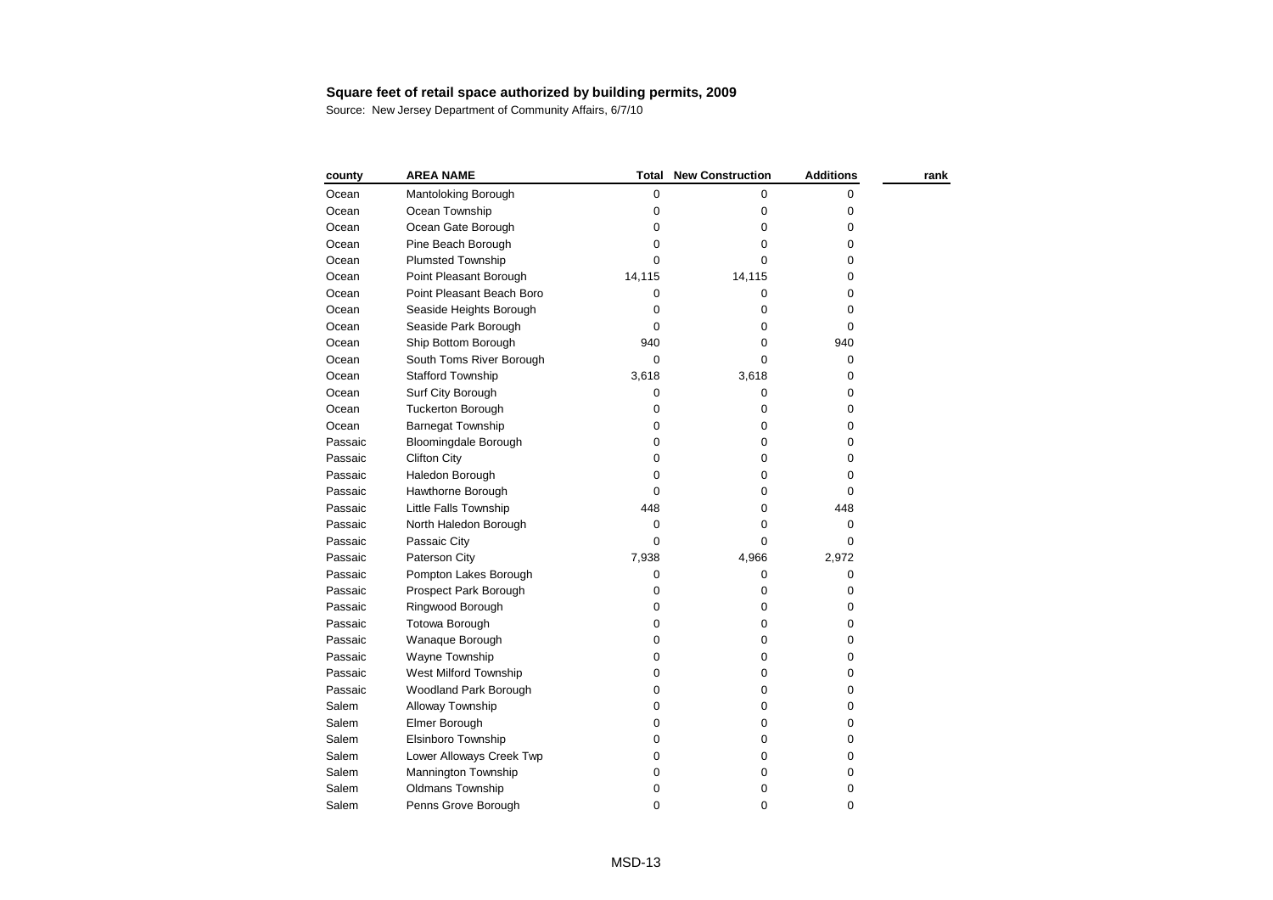| county  | <b>AREA NAME</b>            | Total       | <b>New Construction</b> | <b>Additions</b> | rank |
|---------|-----------------------------|-------------|-------------------------|------------------|------|
| Ocean   | Mantoloking Borough         | 0           | 0                       | 0                |      |
| Ocean   | Ocean Township              | 0           | 0                       | 0                |      |
| Ocean   | Ocean Gate Borough          | 0           | 0                       | 0                |      |
| Ocean   | Pine Beach Borough          | 0           | 0                       | 0                |      |
| Ocean   | <b>Plumsted Township</b>    | $\Omega$    | $\Omega$                | 0                |      |
| Ocean   | Point Pleasant Borough      | 14,115      | 14,115                  | 0                |      |
| Ocean   | Point Pleasant Beach Boro   | 0           | 0                       | 0                |      |
| Ocean   | Seaside Heights Borough     | 0           | 0                       | 0                |      |
| Ocean   | Seaside Park Borough        | 0           | 0                       | 0                |      |
| Ocean   | Ship Bottom Borough         | 940         | 0                       | 940              |      |
| Ocean   | South Toms River Borough    | 0           | 0                       | 0                |      |
| Ocean   | <b>Stafford Township</b>    | 3,618       | 3,618                   | 0                |      |
| Ocean   | Surf City Borough           | 0           | 0                       | 0                |      |
| Ocean   | <b>Tuckerton Borough</b>    | 0           | 0                       | 0                |      |
| Ocean   | <b>Barnegat Township</b>    | 0           | 0                       | 0                |      |
| Passaic | <b>Bloomingdale Borough</b> | 0           | 0                       | 0                |      |
| Passaic | <b>Clifton City</b>         | 0           | 0                       | 0                |      |
| Passaic | Haledon Borough             | 0           | 0                       | 0                |      |
| Passaic | Hawthorne Borough           | $\Omega$    | 0                       | $\mathbf 0$      |      |
| Passaic | Little Falls Township       | 448         | 0                       | 448              |      |
| Passaic | North Haledon Borough       | 0           | 0                       | 0                |      |
| Passaic | Passaic City                | 0           | 0                       | $\mathbf 0$      |      |
| Passaic | Paterson City               | 7,938       | 4,966                   | 2,972            |      |
| Passaic | Pompton Lakes Borough       | 0           | 0                       | 0                |      |
| Passaic | Prospect Park Borough       | 0           | 0                       | 0                |      |
| Passaic | Ringwood Borough            | $\mathbf 0$ | 0                       | 0                |      |
| Passaic | <b>Totowa Borough</b>       | 0           | 0                       | 0                |      |
| Passaic | Wanaque Borough             | 0           | 0                       | 0                |      |
| Passaic | Wayne Township              | 0           | $\mathbf 0$             | 0                |      |
| Passaic | West Milford Township       | 0           | $\pmb{0}$               | 0                |      |
| Passaic | Woodland Park Borough       | $\mathbf 0$ | $\mathbf 0$             | 0                |      |
| Salem   | Alloway Township            | 0           | $\mathbf 0$             | 0                |      |
| Salem   | Elmer Borough               | 0           | 0                       | 0                |      |
| Salem   | Elsinboro Township          | 0           | 0                       | 0                |      |
| Salem   | Lower Alloways Creek Twp    | 0           | 0                       | 0                |      |
| Salem   | Mannington Township         | 0           | $\mathbf 0$             | 0                |      |
| Salem   | <b>Oldmans Township</b>     | 0           | 0                       | 0                |      |
| Salem   | Penns Grove Borough         | 0           | 0                       | 0                |      |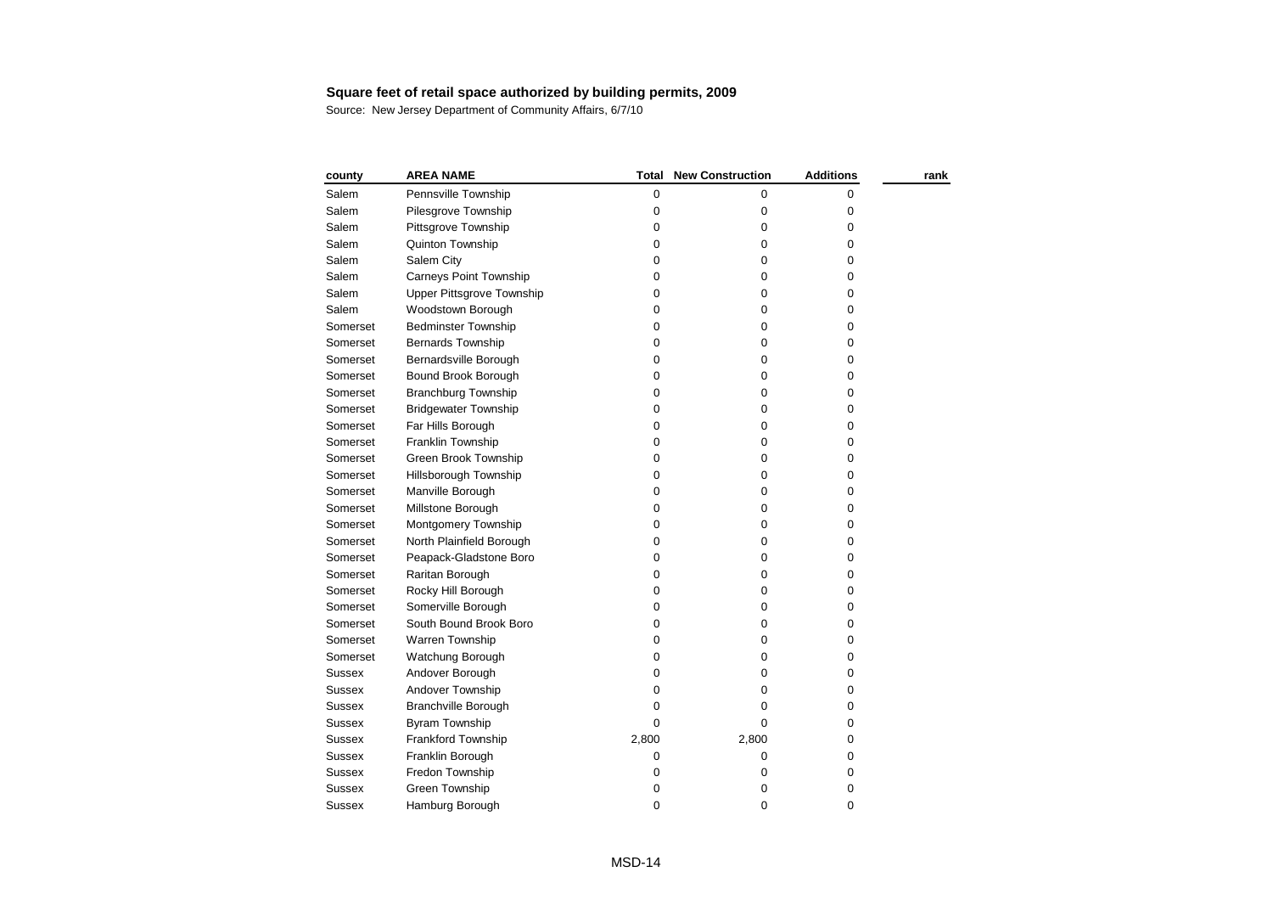| county        | <b>AREA NAME</b>                 | <b>Total</b> | <b>New Construction</b> | <b>Additions</b> | rank |
|---------------|----------------------------------|--------------|-------------------------|------------------|------|
| Salem         | Pennsville Township              | 0            | 0                       | 0                |      |
| Salem         | Pilesgrove Township              | 0            | $\pmb{0}$               | 0                |      |
| Salem         | Pittsgrove Township              | $\pmb{0}$    | 0                       | 0                |      |
| Salem         | Quinton Township                 | 0            | 0                       | 0                |      |
| Salem         | Salem City                       | 0            | 0                       | 0                |      |
| Salem         | <b>Carneys Point Township</b>    | $\Omega$     | 0                       | 0                |      |
| Salem         | <b>Upper Pittsgrove Township</b> | 0            | 0                       | 0                |      |
| Salem         | Woodstown Borough                | 0            | 0                       | 0                |      |
| Somerset      | <b>Bedminster Township</b>       | 0            | 0                       | 0                |      |
| Somerset      | <b>Bernards Township</b>         | 0            | $\pmb{0}$               | 0                |      |
| Somerset      | Bernardsville Borough            | 0            | 0                       | 0                |      |
| Somerset      | Bound Brook Borough              | 0            | $\pmb{0}$               | 0                |      |
| Somerset      | <b>Branchburg Township</b>       | 0            | 0                       | 0                |      |
| Somerset      | <b>Bridgewater Township</b>      | 0            | 0                       | 0                |      |
| Somerset      | Far Hills Borough                | 0            | 0                       | 0                |      |
| Somerset      | Franklin Township                | 0            | 0                       | 0                |      |
| Somerset      | Green Brook Township             | 0            | 0                       | 0                |      |
| Somerset      | Hillsborough Township            | $\Omega$     | 0                       | 0                |      |
| Somerset      | Manville Borough                 | 0            | 0                       | 0                |      |
| Somerset      | Millstone Borough                | 0            | 0                       | 0                |      |
| Somerset      | Montgomery Township              | 0            | 0                       | 0                |      |
| Somerset      | North Plainfield Borough         | $\pmb{0}$    | 0                       | 0                |      |
| Somerset      | Peapack-Gladstone Boro           | 0            | 0                       | 0                |      |
| Somerset      | Raritan Borough                  | 0            | $\pmb{0}$               | 0                |      |
| Somerset      | Rocky Hill Borough               | 0            | 0                       | 0                |      |
| Somerset      | Somerville Borough               | 0            | 0                       | 0                |      |
| Somerset      | South Bound Brook Boro           | 0            | 0                       | 0                |      |
| Somerset      | Warren Township                  | 0            | 0                       | 0                |      |
| Somerset      | Watchung Borough                 | 0            | 0                       | 0                |      |
| <b>Sussex</b> | Andover Borough                  | $\Omega$     | 0                       | 0                |      |
| <b>Sussex</b> | Andover Township                 | 0            | 0                       | 0                |      |
| Sussex        | <b>Branchville Borough</b>       | 0            | 0                       | 0                |      |
| Sussex        | <b>Byram Township</b>            | 0            | 0                       | 0                |      |
| <b>Sussex</b> | Frankford Township               | 2,800        | 2,800                   | 0                |      |
| <b>Sussex</b> | Franklin Borough                 | 0            | $\pmb{0}$               | 0                |      |
| <b>Sussex</b> | Fredon Township                  | 0            | 0                       | 0                |      |
| <b>Sussex</b> | Green Township                   | 0            | 0                       | 0                |      |
| <b>Sussex</b> | Hamburg Borough                  | 0            | 0                       | 0                |      |
|               |                                  |              |                         |                  |      |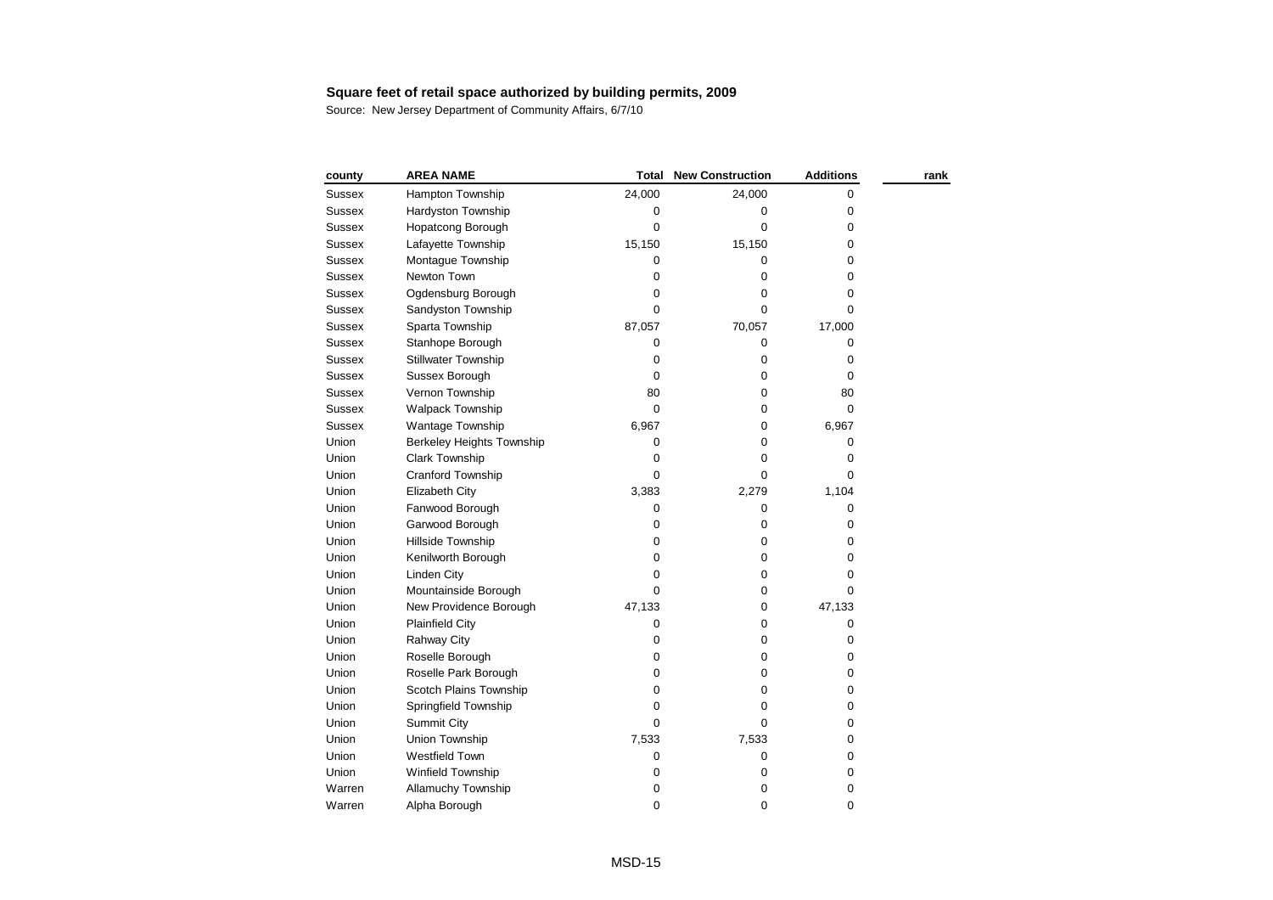| county        | <b>AREA NAME</b>                 | Total       | <b>New Construction</b> | <b>Additions</b> | rank |
|---------------|----------------------------------|-------------|-------------------------|------------------|------|
| <b>Sussex</b> | <b>Hampton Township</b>          | 24,000      | 24,000                  | 0                |      |
| <b>Sussex</b> | Hardyston Township               | 0           | 0                       | 0                |      |
| <b>Sussex</b> | <b>Hopatcong Borough</b>         | 0           | 0                       | 0                |      |
| Sussex        | Lafayette Township               | 15,150      | 15,150                  | 0                |      |
| <b>Sussex</b> | Montague Township                | 0           | 0                       | 0                |      |
| <b>Sussex</b> | Newton Town                      | 0           | 0                       | 0                |      |
| <b>Sussex</b> | Ogdensburg Borough               | 0           | 0                       | 0                |      |
| <b>Sussex</b> | Sandyston Township               | 0           | 0                       | 0                |      |
| Sussex        | Sparta Township                  | 87,057      | 70,057                  | 17,000           |      |
| Sussex        | Stanhope Borough                 | 0           | 0                       | 0                |      |
| <b>Sussex</b> | <b>Stillwater Township</b>       | 0           | 0                       | 0                |      |
| <b>Sussex</b> | Sussex Borough                   | 0           | 0                       | 0                |      |
| Sussex        | Vernon Township                  | 80          | 0                       | 80               |      |
| <b>Sussex</b> | Walpack Township                 | $\mathbf 0$ | 0                       | 0                |      |
| <b>Sussex</b> | Wantage Township                 | 6,967       | 0                       | 6,967            |      |
| Union         | <b>Berkeley Heights Township</b> | 0           | 0                       | 0                |      |
| Union         | <b>Clark Township</b>            | 0           | 0                       | 0                |      |
| Union         | Cranford Township                | 0           | 0                       | 0                |      |
| Union         | Elizabeth City                   | 3,383       | 2,279                   | 1,104            |      |
| Union         | Fanwood Borough                  | 0           | 0                       | 0                |      |
| Union         | Garwood Borough                  | 0           | 0                       | 0                |      |
| Union         | Hillside Township                | 0           | 0                       | 0                |      |
| Union         | Kenilworth Borough               | 0           | $\pmb{0}$               | 0                |      |
| Union         | <b>Linden City</b>               | 0           | 0                       | 0                |      |
| Union         | Mountainside Borough             | $\Omega$    | 0                       | 0                |      |
| Union         | New Providence Borough           | 47,133      | 0                       | 47,133           |      |
| Union         | <b>Plainfield City</b>           | 0           | 0                       | 0                |      |
| Union         | Rahway City                      | 0           | 0                       | 0                |      |
| Union         | Roselle Borough                  | 0           | 0                       | 0                |      |
| Union         | Roselle Park Borough             | 0           | 0                       | 0                |      |
| Union         | Scotch Plains Township           | 0           | 0                       | 0                |      |
| Union         | Springfield Township             | 0           | 0                       | 0                |      |
| Union         | <b>Summit City</b>               | $\mathbf 0$ | 0                       | 0                |      |
| Union         | Union Township                   | 7,533       | 7,533                   | 0                |      |
| Union         | <b>Westfield Town</b>            | 0           | 0                       | 0                |      |
| Union         | Winfield Township                | 0           | 0                       | 0                |      |
| Warren        | <b>Allamuchy Township</b>        | 0           | 0                       | 0                |      |
| Warren        | Alpha Borough                    | 0           | 0                       | 0                |      |